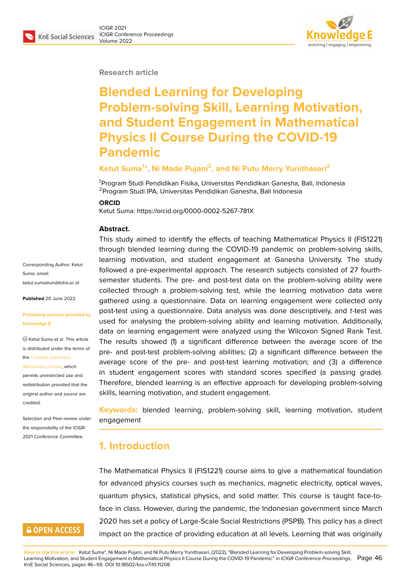#### **Research article**

# **Blended Learning for Developing Problem-solving Skill, Learning Motivation, and Student Engagement in Mathematical Physics II Course During the COVID-19 Pandemic**

#### **Ketut Suma<sup>1</sup> \*, Ni Made Pujani<sup>2</sup> , and Ni Putu Merry Yunithasari<sup>2</sup>**

<sup>1</sup>Program Studi Pendidikan Fisika, Universitas Pendidikan Ganesha, Bali, Indonesia <sup>2</sup>Program Studi IPA, Universitas Pendidikan Ganesha, Bali Indonesia

#### **ORCID**

Ketut Suma: https://orcid.org/0000-0002-5267-781X

#### **Abstract.**

Corresponding Author: Ketut Suma; email: ketut suma@undiksha ac.id **Published** 20 June 2022 **[Publishing services provide](mailto:ketut.suma@undiksha.ac.id)d by**

**Knowledge E**

Ketut Suma et al. This article is distributed under the terms of the Creative Commons

Attribution License, which

permits unrestricted use and redistribution provided that the orig[inal author and sou](https://creativecommons.org/licenses/by/4.0/)rce are [credited.](https://creativecommons.org/licenses/by/4.0/)

Selection and Peer-review under the responsibility of the ICIGR 2021 Conference Committee.

### **GOPEN ACCESS**

This study aimed to identify the effects of teaching Mathematical Physics II (FIS1221) through blended learning during the COVID-19 pandemic on problem-solving skills, learning motivation, and student engagement at Ganesha University. The study followed a pre-experimental approach. The research subjects consisted of 27 fourthsemester students. The pre- and post-test data on the problem-solving ability were collected through a problem-solving test, while the learning motivation data were gathered using a questionnaire. Data on learning engagement were collected only post-test using a questionnaire. Data analysis was done descriptively, and *t*-test was used for analysing the problem-solving ability and learning motivation. Additionally, data on learning engagement were analyzed using the Wilcoxon Signed Rank Test. The results showed (1) a significant difference between the average score of the pre- and post-test problem-solving abilities; (2) a significant difference between the average score of the pre- and post-test learning motivation; and (3) a difference in student engagement scores with standard scores specified (a passing grade). Therefore, blended learning is an effective approach for developing problem-solving skills, learning motivation, and student engagement.

**Keywords:** blended learning, problem-solving skill, learning motivation, student engagement

# **1. Introduction**

The Mathematical Physics II (FIS1221) course aims to give a mathematical foundation for advanced physics courses such as mechanics, magnetic electricity, optical waves, quantum physics, statistical physics, and solid matter. This course is taught face-toface in class. However, during the pandemic, the Indonesian government since March 2020 has set a policy of Large-Scale Social Restrictions (PSPB). This policy has a direct impact on the practice of providing education at all levels. Learning that was originally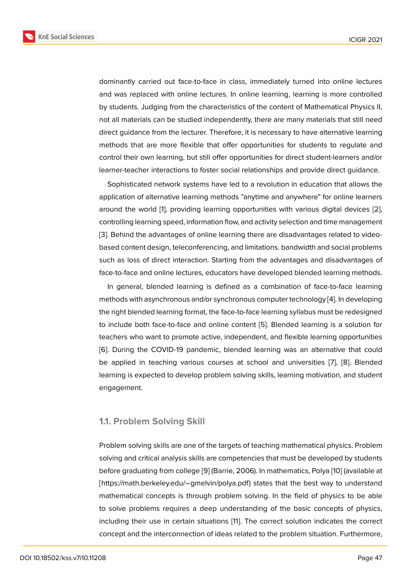dominantly carried out face-to-face in class, immediately turned into online lectures and was replaced with online lectures. In online learning, learning is more controlled by students. Judging from the characteristics of the content of Mathematical Physics II, not all materials can be studied independently, there are many materials that still need direct guidance from the lecturer. Therefore, it is necessary to have alternative learning methods that are more flexible that offer opportunities for students to regulate and control their own learning, but still offer opportunities for direct student-learners and/or learner-teacher interactions to foster social relationships and provide direct guidance.

Sophisticated network systems have led to a revolution in education that allows the application of alternative learning methods "anytime and anywhere" for online learners around the world [1], providing learning opportunities with various digital devices [2], controlling learning speed, information flow, and activity selection and time management [3]. Behind the advantages of online learning there are disadvantages related to videobased content desi[g](#page-10-0)n, teleconferencing, and limitations. bandwidth and social proble[m](#page-10-1)s such as loss of direct interaction. Starting from the advantages and disadvantages of [fac](#page-10-2)e-to-face and online lectures, educators have developed blended learning methods.

In general, blended learning is defined as a combination of face-to-face learning methods with asynchronous and/or synchronous computer technology [4]. In developing the right blended learning format, the face-to-face learning syllabus must be redesigned to include both face-to-face and online content [5]. Blended learning is a solution for teachers who want to promote active, independent, and flexible learni[ng](#page-10-3) opportunities [6]. During the COVID-19 pandemic, blended learning was an alternative that could be applied in teaching various courses at sch[oo](#page-11-0)l and universities [7], [8]. Blended learning is expected to develop problem solving skills, learning motivation, and student [en](#page-11-1)gagement.

#### **1.1. Problem Solving Skill**

Problem solving skills are one of the targets of teaching mathematical physics. Problem solving and critical analysis skills are competencies that must be developed by students before graduating from college [9] (Barrie, 2006). In mathematics, Polya [10] (available at [https://math.berkeley.edu/∼gmelvin/polya.pdf) states that the best way to understand mathematical concepts is through problem solving. In the field of physics to be able to solve problems requires a [de](#page-11-2)ep understanding of the basic conc[epts](#page-11-3) of physics, including their use in certain situations [11]. The correct solution indicates the correct concept and the interconnection of ideas related to the problem situation. Furthermore,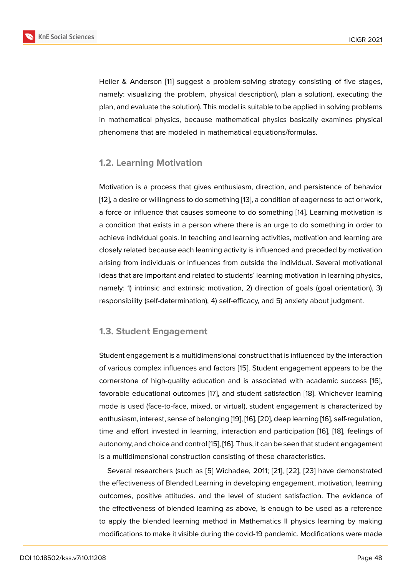Heller & Anderson [11] suggest a problem-solving strategy consisting of five stages, namely: visualizing the problem, physical description), plan a solution), executing the plan, and evaluate the solution). This model is suitable to be applied in solving problems in mathematical ph[ysi](#page-11-4)cs, because mathematical physics basically examines physical phenomena that are modeled in mathematical equations/formulas.

### **1.2. Learning Motivation**

Motivation is a process that gives enthusiasm, direction, and persistence of behavior [12], a desire or willingness to do something [13], a condition of eagerness to act or work, a force or influence that causes someone to do something [14]. Learning motivation is a condition that exists in a person where there is an urge to do something in order to [ach](#page-11-5)ieve individual goals. In teaching and lea[rni](#page-11-6)ng activities, motivation and learning are closely related because each learning activity is influenced a[nd](#page-11-7) preceded by motivation arising from individuals or influences from outside the individual. Several motivational ideas that are important and related to students' learning motivation in learning physics, namely: 1) intrinsic and extrinsic motivation, 2) direction of goals (goal orientation), 3) responsibility (self-determination), 4) self-efficacy, and 5) anxiety about judgment.

### **1.3. Student Engagement**

Student engagement is a multidimensional construct that is influenced by the interaction of various complex influences and factors [15]. Student engagement appears to be the cornerstone of high-quality education and is associated with academic success [16], favorable educational outcomes [17], and student satisfaction [18]. Whichever learning mode is used (face-to-face, mixed, or virtu[al\),](#page-11-8) student engagement is characterized by enthusiasm, interest, sense of belonging [19], [16], [20], deep learning [16], self-regulat[ion](#page-11-9), time and effort invested in learni[ng](#page-11-10), interaction and participat[ion](#page-11-11) [16], [18], feelings of autonomy, and choice and control [15], [16]. Thus, it can be seen that student engagement is a multidimensional construction consi[stin](#page-12-0)g [of](#page-11-9) t[hes](#page-12-1)e characteristic[s.](#page-11-9)

Several researchers (such as [5] Wichadee, 2011; [21], [22], [23] [ha](#page-11-9)ve [de](#page-11-11)monstrated the effectiveness of Blended Lear[nin](#page-11-8)g [in](#page-11-9) developing engagement, motivation, learning outcomes, positive attitudes. and the level of student satisfaction. The evidence of the effectiveness of blended lea[rn](#page-11-0)ing as above, is e[nou](#page-12-2)[gh t](#page-12-3)o [be](#page-12-4) used as a reference to apply the blended learning method in Mathematics II physics learning by making modifications to make it visible during the covid-19 pandemic. Modifications were made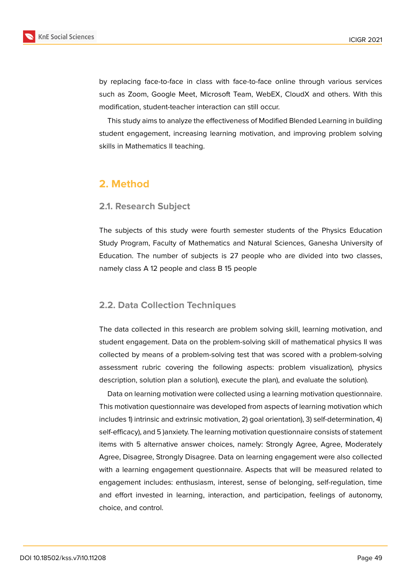

by replacing face-to-face in class with face-to-face online through various services such as Zoom, Google Meet, Microsoft Team, WebEX, CloudX and others. With this modification, student-teacher interaction can still occur.

This study aims to analyze the effectiveness of Modified Blended Learning in building student engagement, increasing learning motivation, and improving problem solving skills in Mathematics II teaching.

## **2. Method**

### **2.1. Research Subject**

The subjects of this study were fourth semester students of the Physics Education Study Program, Faculty of Mathematics and Natural Sciences, Ganesha University of Education. The number of subjects is 27 people who are divided into two classes, namely class A 12 people and class B 15 people

### **2.2. Data Collection Techniques**

The data collected in this research are problem solving skill, learning motivation, and student engagement. Data on the problem-solving skill of mathematical physics II was collected by means of a problem-solving test that was scored with a problem-solving assessment rubric covering the following aspects: problem visualization), physics description, solution plan a solution), execute the plan), and evaluate the solution).

Data on learning motivation were collected using a learning motivation questionnaire. This motivation questionnaire was developed from aspects of learning motivation which includes 1) intrinsic and extrinsic motivation, 2) goal orientation), 3) self-determination, 4) self-efficacy), and 5 )anxiety. The learning motivation questionnaire consists of statement items with 5 alternative answer choices, namely: Strongly Agree, Agree, Moderately Agree, Disagree, Strongly Disagree. Data on learning engagement were also collected with a learning engagement questionnaire. Aspects that will be measured related to engagement includes: enthusiasm, interest, sense of belonging, self-regulation, time and effort invested in learning, interaction, and participation, feelings of autonomy, choice, and control.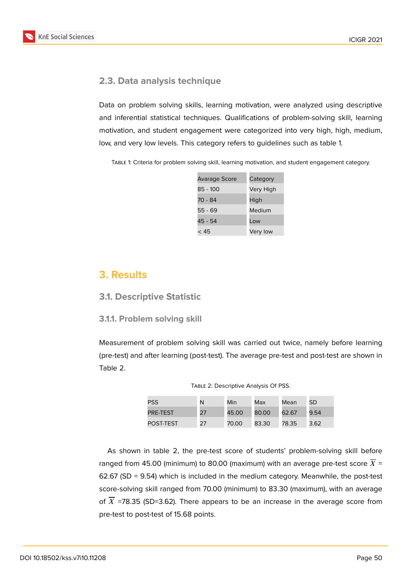

### **2.3. Data analysis technique**

Data on problem solving skills, learning motivation, were analyzed using descriptive and inferential statistical techniques. Qualifications of problem-solving skill, learning motivation, and student engagement were categorized into very high, high, medium, low, and very low levels. This category refers to guidelines such as table 1.

Table 1: Criteria for problem solving skill, learning motivation, and student engagement category.

| <b>Avarage Score</b> | Category  |
|----------------------|-----------|
| 85 - 100             | Very High |
| 70 - 84              | High      |
| $55 - 69$            | Medium    |
| 45 - 54              | l ow      |
| < 45                 | Very low  |

### **3. Results**

### **3.1. Descriptive Statistic**

#### **3.1.1. Problem solving skill**

Measurement of problem solving skill was carried out twice, namely before learning (pre-test) and after learning (post-test). The average pre-test and post-test are shown in Table 2.

| TABLE 2: Descriptive Analysis Of PSS. |  |
|---------------------------------------|--|
|---------------------------------------|--|

| <b>PSS</b> | N  | Min   | Max   | Mean  | <b>SD</b> |
|------------|----|-------|-------|-------|-----------|
| PRE-TEST   | 27 | 45.00 | 80.00 | 62.67 | 9.54      |
| POST-TEST  | 27 | 70.00 | 83.30 | 78.35 | 3.62      |

As shown in table 2, the pre-test score of students' problem-solving skill before ranged from 45.00 (minimum) to 80.00 (maximum) with an average pre-test score  $\overline{X}$  = 62.67 (SD = 9.54) which is included in the medium category. Meanwhile, the post-test score-solving skill ranged from 70.00 (minimum) to 83.30 (maximum), with an average of  $\overline{X}$  =78.35 (SD=3.62). There appears to be an increase in the average score from pre-test to post-test of 15.68 points.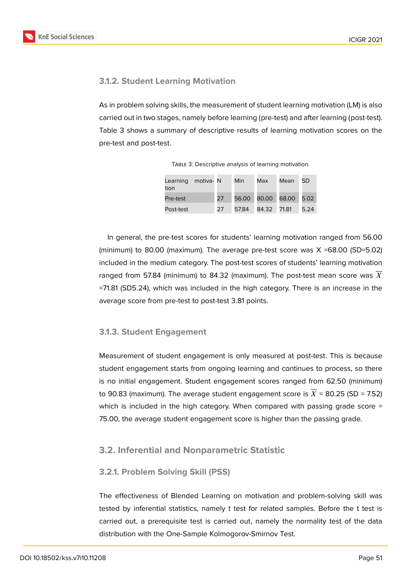**KnE Social Sciences** 



### **3.1.2. Student Learning Motivation**

As in problem solving skills, the measurement of student learning motivation (LM) is also carried out in two stages, namely before learning (pre-test) and after learning (post-test). Table 3 shows a summary of descriptive results of learning motivation scores on the pre-test and post-test.

| Learning motiva- N<br>tion |    | Min | Max               | Mean | <b>SD</b> |
|----------------------------|----|-----|-------------------|------|-----------|
| Pre-test                   | 27 |     | 56.00 80.00 68.00 |      | 5.02      |
| Post-test                  | 27 |     | 57.84 84.32 71.81 |      | 5.24      |

TABLE 3: Descriptive analysis of learning motivation.

In general, the pre-test scores for students' learning motivation ranged from 56.00 (minimum) to 80.00 (maximum). The average pre-test score was X =68.00 (SD=5.02) included in the medium category. The post-test scores of students' learning motivation ranged from 57.84 (minimum) to 84.32 (maximum). The post-test mean score was  $X$ =71.81 (SD5.24), which was included in the high category. There is an increase in the average score from pre-test to post-test 3.81 points.

### **3.1.3. Student Engagement**

Measurement of student engagement is only measured at post-test. This is because student engagement starts from ongoing learning and continues to process, so there is no initial engagement. Student engagement scores ranged from 62.50 (minimum) to 90.83 (maximum). The average student engagement score is  $\overline{X}$  = 80.25 (SD = 7.52) which is included in the high category. When compared with passing grade score = 75.00, the average student engagement score is higher than the passing grade.

### **3.2. Inferential and Nonparametric Statistic**

#### **3.2.1. Problem Solving Skill (PSS)**

The effectiveness of Blended Learning on motivation and problem-solving skill was tested by inferential statistics, namely t test for related samples. Before the t test is carried out, a prerequisite test is carried out, namely the normality test of the data distribution with the One-Sample Kolmogorov-Smirnov Test.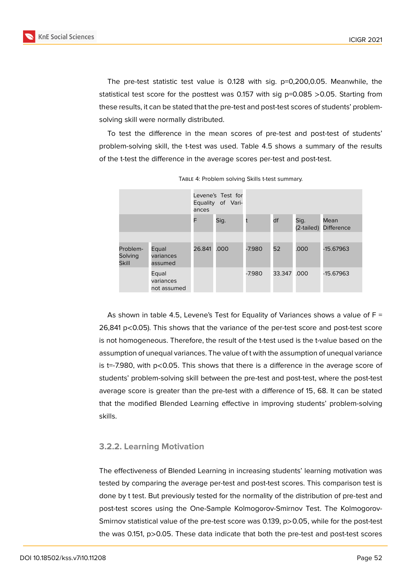

The pre-test statistic test value is 0.128 with sig. p=0,200,0.05. Meanwhile, the statistical test score for the posttest was 0.157 with sig  $p=0.085 > 0.05$ . Starting from these results, it can be stated that the pre-test and post-test scores of students' problemsolving skill were normally distributed.

To test the difference in the mean scores of pre-test and post-test of students' problem-solving skill, the t-test was used. Table 4.5 shows a summary of the results of the t-test the difference in the average scores per-test and post-test.

|                                     |                                   | ances  | Levene's Test for<br>Equality of Vari- |          |             |                    |                           |
|-------------------------------------|-----------------------------------|--------|----------------------------------------|----------|-------------|--------------------|---------------------------|
|                                     |                                   | F      | Sig.                                   |          | df          | Sig.<br>(2-tailed) | Mean<br><b>Difference</b> |
|                                     |                                   |        |                                        |          |             |                    |                           |
| Problem-<br>Solving<br><b>Skill</b> | Equal<br>variances<br>assumed     | 26.841 | .000                                   | $-7.980$ | 52          | .000               | -15.67963                 |
|                                     | Equal<br>variances<br>not assumed |        |                                        | $-7.980$ | 33.347 .000 |                    | $-15.67963$               |

Table 4: Problem solving Skills t-test summary.

As shown in table 4.5, Levene's Test for Equality of Variances shows a value of  $F =$ 26,841 p<0.05). This shows that the variance of the per-test score and post-test score is not homogeneous. Therefore, the result of the t-test used is the t-value based on the assumption of unequal variances. The value of t with the assumption of unequal variance is t=-7.980, with p<0.05. This shows that there is a difference in the average score of students' problem-solving skill between the pre-test and post-test, where the post-test average score is greater than the pre-test with a difference of 15, 68. It can be stated that the modified Blended Learning effective in improving students' problem-solving skills.

#### **3.2.2. Learning Motivation**

The effectiveness of Blended Learning in increasing students' learning motivation was tested by comparing the average per-test and post-test scores. This comparison test is done by t test. But previously tested for the normality of the distribution of pre-test and post-test scores using the One-Sample Kolmogorov-Smirnov Test. The Kolmogorov-Smirnov statistical value of the pre-test score was 0.139, p>0.05, while for the post-test the was 0.151, p>0.05. These data indicate that both the pre-test and post-test scores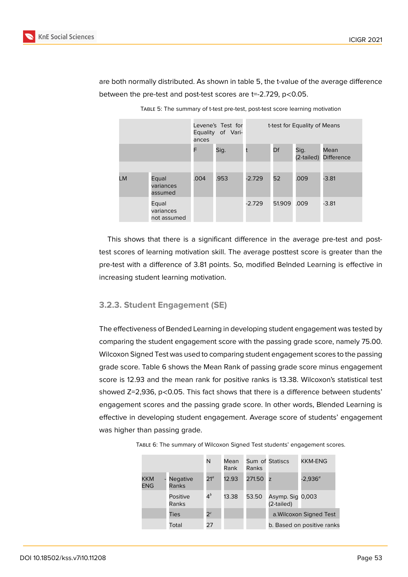

are both normally distributed. As shown in table 5, the t-value of the average difference between the pre-test and post-test scores are t=-2.729, p<0.05.

|           |                                   | ances | Levene's Test for<br>Equality of Vari- | t-test for Equality of Means |                    |                           |         |
|-----------|-----------------------------------|-------|----------------------------------------|------------------------------|--------------------|---------------------------|---------|
|           | F<br>Sig.                         |       |                                        | Df                           | Sig.<br>(2-tailed) | Mean<br><b>Difference</b> |         |
|           |                                   |       |                                        |                              |                    |                           |         |
| <b>LM</b> | Equal<br>variances<br>assumed     | .004  | .953                                   | $-2.729$                     | 52                 | .009                      | $-3.81$ |
|           | Equal<br>variances<br>not assumed |       |                                        | $-2.729$                     | 51.909             | .009                      | $-3.81$ |

Table 5: The summary of t-test pre-test, post-test score learning motivation

This shows that there is a significant difference in the average pre-test and posttest scores of learning motivation skill. The average posttest score is greater than the pre-test with a difference of 3.81 points. So, modified Belnded Learning is effective in increasing student learning motivation.

#### **3.2.3. Student Engagement (SE)**

The effectiveness of Bended Learning in developing student engagement was tested by comparing the student engagement score with the passing grade score, namely 75.00. Wilcoxon Signed Test was used to comparing student engagement scores to the passing grade score. Table 6 shows the Mean Rank of passing grade score minus engagement score is 12.93 and the mean rank for positive ranks is 13.38. Wilcoxon's statistical test showed Z=2,936, p<0.05. This fact shows that there is a difference between students' engagement scores and the passing grade score. In other words, Blended Learning is effective in developing student engagement. Average score of students' engagement was higher than passing grade.

|                          |                          | N               | Mean<br>Rank | Ranks  | Sum of Statiscs                | KKM-ENG                    |
|--------------------------|--------------------------|-----------------|--------------|--------|--------------------------------|----------------------------|
| <b>KKM</b><br><b>ENG</b> | <b>Negative</b><br>Ranks | 21 <sup>a</sup> | 12.93        | 271.50 | z                              | $-2,936^a$                 |
|                          | <b>Positive</b><br>Ranks | $4^b$           | 13.38        | 53.50  | Asymp. Sig 0,003<br>(2-tailed) |                            |
|                          | Ties                     | 2 <sup>c</sup>  |              |        |                                | a. Wilcoxon Signed Test    |
|                          | Total                    | 27              |              |        |                                | b. Based on positive ranks |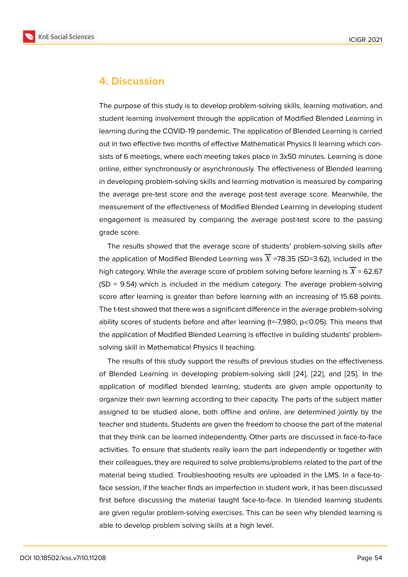### **4. Discussion**

The purpose of this study is to develop problem-solving skills, learning motivation, and student learning involvement through the application of Modified Blended Learning in learning during the COVID-19 pandemic. The application of Blended Learning is carried out in two effective two months of effective Mathematical Physics II learning which consists of 6 meetings, where each meeting takes place in 3x50 minutes. Learning is done online, either synchronously or asynchronously. The effectiveness of Blended learning in developing problem-solving skills and learning motivation is measured by comparing the average pre-test score and the average post-test average score. Meanwhile, the measurement of the effectiveness of Modified Blended Learning in developing student engagement is measured by comparing the average post-test score to the passing grade score.

The results showed that the average score of students' problem-solving skills after the application of Modified Blended Learning was  $\overline{X}$  =78.35 (SD=3.62), included in the high category. While the average score of problem solving before learning is  $\overline{X}$  = 62.67 (SD = 9.54) which is included in the medium category. The average problem-solving score after learning is greater than before learning with an increasing of 15.68 points. The t-test showed that there was a significant difference in the average problem-solving ability scores of students before and after learning (t=-7,980; p<0.05). This means that the application of Modified Blended Learning is effective in building students' problemsolving skill in Mathematical Physics II teaching.

The results of this study support the results of previous studies on the effectiveness of Blended Learning in developing problem-solving skill [24], [22], and [25]. In the application of modified blended learning, students are given ample opportunity to organize their own learning according to their capacity. The parts of the subject matter assigned to be studied alone, both offline and online, are [de](#page-12-5)te[rmi](#page-12-3)ned joi[ntly](#page-12-6) by the teacher and students. Students are given the freedom to choose the part of the material that they think can be learned independently. Other parts are discussed in face-to-face activities. To ensure that students really learn the part independently or together with their colleagues, they are required to solve problems/problems related to the part of the material being studied. Troubleshooting results are uploaded in the LMS. In a face-toface session, if the teacher finds an imperfection in student work, it has been discussed first before discussing the material taught face-to-face. In blended learning students are given regular problem-solving exercises. This can be seen why blended learning is able to develop problem solving skills at a high level.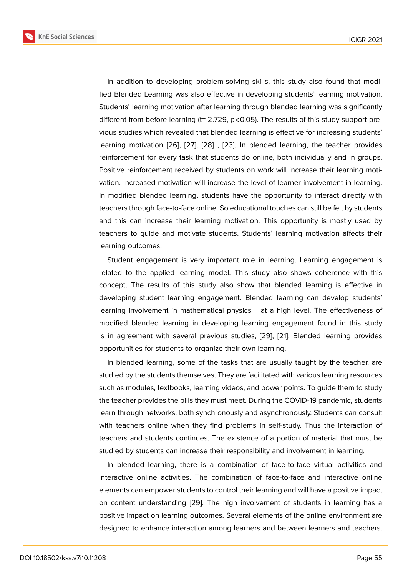In addition to developing problem-solving skills, this study also found that modified Blended Learning was also effective in developing students' learning motivation. Students' learning motivation after learning through blended learning was significantly different from before learning (t=-2.729, p<0.05). The results of this study support previous studies which revealed that blended learning is effective for increasing students' learning motivation [26], [27], [28] , [23]. In blended learning, the teacher provides reinforcement for every task that students do online, both individually and in groups. Positive reinforcement received by students on work will increase their learning motivation. Increased mo[tiva](#page-12-7)ti[on](#page-12-8) wi[ll in](#page-12-9)cre[ase](#page-12-4) the level of learner involvement in learning. In modified blended learning, students have the opportunity to interact directly with teachers through face-to-face online. So educational touches can still be felt by students and this can increase their learning motivation. This opportunity is mostly used by teachers to guide and motivate students. Students' learning motivation affects their learning outcomes.

Student engagement is very important role in learning. Learning engagement is related to the applied learning model. This study also shows coherence with this concept. The results of this study also show that blended learning is effective in developing student learning engagement. Blended learning can develop students' learning involvement in mathematical physics II at a high level. The effectiveness of modified blended learning in developing learning engagement found in this study is in agreement with several previous studies, [29], [21]. Blended learning provides opportunities for students to organize their own learning.

In blended learning, some of the tasks that are usually taught by the teacher, are studied by the students themselves. They are facil[itat](#page-13-0)e[d w](#page-12-2)ith various learning resources such as modules, textbooks, learning videos, and power points. To guide them to study the teacher provides the bills they must meet. During the COVID-19 pandemic, students learn through networks, both synchronously and asynchronously. Students can consult with teachers online when they find problems in self-study. Thus the interaction of teachers and students continues. The existence of a portion of material that must be studied by students can increase their responsibility and involvement in learning.

In blended learning, there is a combination of face-to-face virtual activities and interactive online activities. The combination of face-to-face and interactive online elements can empower students to control their learning and will have a positive impact on content understanding [29]. The high involvement of students in learning has a positive impact on learning outcomes. Several elements of the online environment are designed to enhance interaction among learners and between learners and teachers.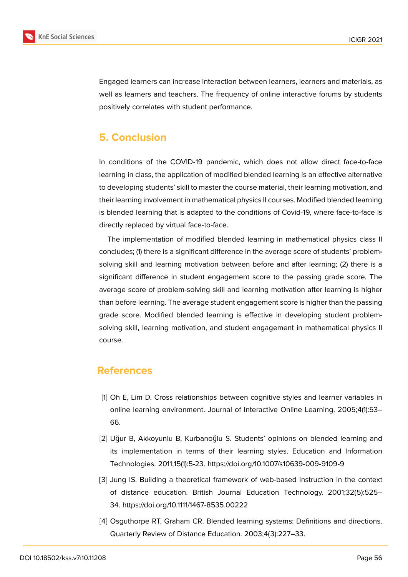

Engaged learners can increase interaction between learners, learners and materials, as well as learners and teachers. The frequency of online interactive forums by students positively correlates with student performance.

# **5. Conclusion**

In conditions of the COVID-19 pandemic, which does not allow direct face-to-face learning in class, the application of modified blended learning is an effective alternative to developing students' skill to master the course material, their learning motivation, and their learning involvement in mathematical physics II courses. Modified blended learning is blended learning that is adapted to the conditions of Covid-19, where face-to-face is directly replaced by virtual face-to-face.

The implementation of modified blended learning in mathematical physics class II concludes; (1) there is a significant difference in the average score of students' problemsolving skill and learning motivation between before and after learning; (2) there is a significant difference in student engagement score to the passing grade score. The average score of problem-solving skill and learning motivation after learning is higher than before learning. The average student engagement score is higher than the passing grade score. Modified blended learning is effective in developing student problemsolving skill, learning motivation, and student engagement in mathematical physics II course.

### **References**

- <span id="page-10-0"></span>[1] Oh E, Lim D. Cross relationships between cognitive styles and learner variables in online learning environment. Journal of Interactive Online Learning. 2005;4(1):53– 66.
- <span id="page-10-1"></span>[2] Uğur B, Akkoyunlu B, Kurbanoğlu S. Students' opinions on blended learning and its implementation in terms of their learning styles. Education and Information Technologies. 2011;15(1):5-23. https://doi.org/10.1007/s10639-009-9109-9
- <span id="page-10-2"></span>[3] Jung IS. Building a theoretical framework of web-based instruction in the context of distance education. British Journal Education Technology. 2001;32(5):525– 34. https://doi.org/10.1111/1467-8535.00222
- <span id="page-10-3"></span>[4] Osguthorpe RT, Graham CR. Blended learning systems: Definitions and directions. Quarterly Review of Distance Education. 2003;4(3):227–33.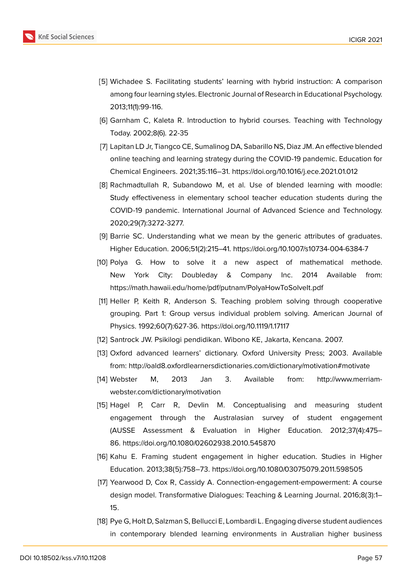

- <span id="page-11-0"></span>[5] Wichadee S. Facilitating students' learning with hybrid instruction: A comparison among four learning styles. Electronic Journal of Research in Educational Psychology. 2013;11(1):99-116.
- <span id="page-11-1"></span>[6] Garnham C, Kaleta R. Introduction to hybrid courses. Teaching with Technology Today. 2002;8(6). 22-35
- [7] Lapitan LD Jr, Tiangco CE, Sumalinog DA, Sabarillo NS, Diaz JM. An effective blended online teaching and learning strategy during the COVID-19 pandemic. Education for Chemical Engineers. 2021;35:116–31. https://doi.org/10.1016/j.ece.2021.01.012
- [8] Rachmadtullah R, Subandowo M, et al. Use of blended learning with moodle: Study effectiveness in elementary school teacher education students during the COVID-19 pandemic. International Journal of Advanced Science and Technology. 2020;29(7):3272-3277.
- <span id="page-11-2"></span>[9] Barrie SC. Understanding what we mean by the generic attributes of graduates. Higher Education. 2006;51(2):215–41. https://doi.org/10.1007/s10734-004-6384-7
- <span id="page-11-3"></span>[10] Polya G. How to solve it a new aspect of mathematical methode. New York City: Doubleday & Company Inc. 2014 Available from: https://math.hawaii.edu/home/pdf/putnam/PolyaHowToSolveIt.pdf
- <span id="page-11-4"></span>[11] Heller P, Keith R, Anderson S. Teaching problem solving through cooperative grouping. Part 1: Group versus individual problem solving. American Journal of Physics. 1992;60(7):627-36. https://doi.org/10.1119/1.17117
- <span id="page-11-5"></span>[12] Santrock JW. Psikilogi pendidikan. Wibono KE, Jakarta, Kencana. 2007.
- <span id="page-11-6"></span>[13] Oxford advanced learners' dictionary. Oxford University Press; 2003. Available from: http://oald8.oxfordlearnersdictionaries.com/dictionary/motivation#motivate
- <span id="page-11-7"></span>[14] Webster M, 2013 Jan 3. Available from: http://www.merriamwebster.com/dictionary/motivation
- <span id="page-11-8"></span>[15] Hagel P, Carr R, Devlin M. Conceptualising and measuring student engagement through the Australasian survey of student engagement (AUSSE Assessment & Evaluation in Higher Education. 2012;37(4):475– 86. https://doi.org/10.1080/02602938.2010.545870
- <span id="page-11-9"></span>[16] Kahu E. Framing student engagement in higher education. Studies in Higher Education. 2013;38(5):758–73. https://doi.org/10.1080/03075079.2011.598505
- <span id="page-11-10"></span>[17] Yearwood D, Cox R, Cassidy A. Connection-engagement-empowerment: A course design model. Transformative Dialogues: Teaching & Learning Journal. 2016;8(3):1– 15.
- <span id="page-11-11"></span>[18] Pye G, Holt D, Salzman S, Bellucci E, Lombardi L. Engaging diverse student audiences in contemporary blended learning environments in Australian higher business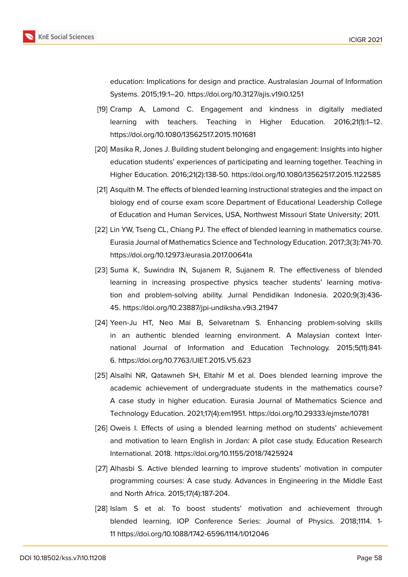

education: Implications for design and practice. Australasian Journal of Information Systems. 2015;19:1–20. https://doi.org/10.3127/ajis.v19i0.1251

- <span id="page-12-0"></span>[19] Cramp A, Lamond C. Engagement and kindness in digitally mediated learning with teachers. Teaching in Higher Education. 2016;21(1):1–12. https://doi.org/10.1080/13562517.2015.1101681
- <span id="page-12-1"></span>[20] Masika R, Jones J. Building student belonging and engagement: Insights into higher education students' experiences of participating and learning together. Teaching in Higher Education. 2016;21(2):138-50. https://doi.org/10.1080/13562517.2015.1122585
- <span id="page-12-2"></span>[21] Asquith M. The effects of blended learning instructional strategies and the impact on biology end of course exam score Department of Educational Leadership College of Education and Human Services, USA, Northwest Missouri State University; 2011.
- <span id="page-12-3"></span>[22] Lin YW, Tseng CL, Chiang PJ. The effect of blended learning in mathematics course. Eurasia Journal of Mathematics Science and Technology Education. 2017;3(3):741-70. https://doi.org/10.12973/eurasia.2017.00641a
- <span id="page-12-4"></span>[23] Suma K, Suwindra IN, Sujanem R, Sujanem R. The effectiveness of blended learning in increasing prospective physics teacher students' learning motivation and problem-solving ability. Jurnal Pendidikan Indonesia. 2020;9(3):436- 45. https://doi.org/10.23887/jpi-undiksha.v9i3.21947
- <span id="page-12-5"></span>[24] Yeen-Ju HT, Neo Mai B, Selvaretnam S. Enhancing problem-solving skills in an authentic blended learning environment. A Malaysian context International Journal of Information and Education Technology. 2015;5(11):841- 6. https://doi.org/10.7763/IJIET.2015.V5.623
- <span id="page-12-6"></span>[25] Alsalhi NR, Qatawneh SH, Eltahir M et al. Does blended learning improve the academic achievement of undergraduate students in the mathematics course? A case study in higher education. Eurasia Journal of Mathematics Science and Technology Education. 2021;17(4):em1951. https://doi.org/10.29333/ejmste/10781
- <span id="page-12-7"></span>[26] Oweis I. Effects of using a blended learning method on students' achievement and motivation to learn English in Jordan: A pilot case study. Education Research International. 2018. https://doi.org/10.1155/2018/7425924
- <span id="page-12-8"></span>[27] Alhasbi S. Active blended learning to improve students' motivation in computer programming courses: A case study. Advances in Engineering in the Middle East and North Africa. 2015;17(4):187-204.
- <span id="page-12-9"></span>[28] Islam S et al. To boost students' motivation and achievement through blended learning. IOP Conference Series: Journal of Physics. 2018;1114. 1- 11 https://doi.org/10.1088/1742-6596/1114/1/012046